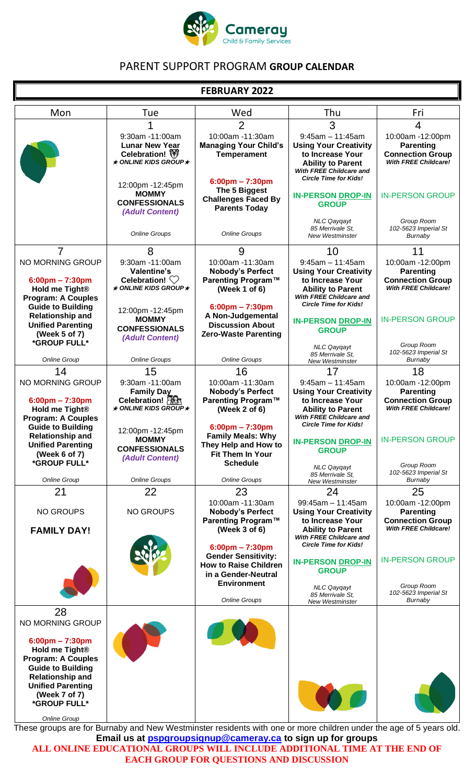

# PARENT SUPPORT PROGRAM **GROUP CALENDAR**

## **FEBRUARY 2022**

| Mon                                                                                                                                                                                                                              | Tue                                                                                                                                                          | Wed                                                                                                                                                                     | Thu                                                                                                                                                                                                       | Fri                                                                                                                      |
|----------------------------------------------------------------------------------------------------------------------------------------------------------------------------------------------------------------------------------|--------------------------------------------------------------------------------------------------------------------------------------------------------------|-------------------------------------------------------------------------------------------------------------------------------------------------------------------------|-----------------------------------------------------------------------------------------------------------------------------------------------------------------------------------------------------------|--------------------------------------------------------------------------------------------------------------------------|
|                                                                                                                                                                                                                                  |                                                                                                                                                              | $\overline{2}$                                                                                                                                                          | 3                                                                                                                                                                                                         | 4                                                                                                                        |
|                                                                                                                                                                                                                                  | 9:30am -11:00am<br><b>Lunar New Year</b><br>Celebration! (<br>$\star$ ONLINE KIDS GROUP $\star$                                                              | 10:00am -11:30am<br><b>Managing Your Child's</b><br><b>Temperament</b>                                                                                                  | $9:45am - 11:45am$<br><b>Using Your Creativity</b><br>to Increase Your<br><b>Ability to Parent</b><br><b>With FREE Childcare and</b><br><b>Circle Time for Kids!</b>                                      | 10:00am -12:00pm<br><b>Parenting</b><br><b>Connection Group</b><br><b>With FREE Childcare!</b>                           |
|                                                                                                                                                                                                                                  | 12:00pm -12:45pm<br><b>MOMMY</b><br><b>CONFESSIONALS</b><br>(Adult Content)                                                                                  | $6:00$ pm – 7:30pm<br>The 5 Biggest<br><b>Challenges Faced By</b><br><b>Parents Today</b>                                                                               | <b>IN-PERSON DROP-IN</b><br><b>GROUP</b>                                                                                                                                                                  | <b>IN-PERSON GROUP</b>                                                                                                   |
|                                                                                                                                                                                                                                  | <b>Online Groups</b>                                                                                                                                         | <b>Online Groups</b>                                                                                                                                                    | <b>NLC Qaygayt</b><br>85 Merrivale St.<br><b>New Westminster</b>                                                                                                                                          | Group Room<br>102-5623 Imperial St<br>Burnaby                                                                            |
| 7                                                                                                                                                                                                                                | 8                                                                                                                                                            | 9                                                                                                                                                                       | 10                                                                                                                                                                                                        | 11                                                                                                                       |
| NO MORNING GROUP<br>$6:00 \text{pm} - 7:30 \text{pm}$<br>Hold me Tight <sup>®</sup><br><b>Program: A Couples</b><br><b>Guide to Building</b><br><b>Relationship and</b><br><b>Unified Parenting</b>                              | 9:30am -11:00am<br>Valentine's<br>Celebration! $\heartsuit$<br>$\star$ ONLINE KIDS GROUP $\star$<br>12:00pm -12:45pm<br><b>MOMMY</b><br><b>CONFESSIONALS</b> | 10:00am -11:30am<br><b>Nobody's Perfect</b><br>Parenting Program™<br>(Week 1 of 6)<br>$6:00 \text{pm} - 7:30 \text{pm}$<br>A Non-Judgemental<br><b>Discussion About</b> | $9:45am - 11:45am$<br><b>Using Your Creativity</b><br>to Increase Your<br><b>Ability to Parent</b><br>With FREE Childcare and<br><b>Circle Time for Kids!</b><br><b>IN-PERSON DROP-IN</b><br><b>GROUP</b> | 10:00am -12:00pm<br><b>Parenting</b><br><b>Connection Group</b><br><b>With FREE Childcare!</b><br><b>IN-PERSON GROUP</b> |
| (Week 5 of 7)<br>*GROUP FULL*                                                                                                                                                                                                    | (Adult Content)                                                                                                                                              | <b>Zero-Waste Parenting</b>                                                                                                                                             | <b>NLC Qaygayt</b><br>85 Merrivale St.                                                                                                                                                                    | Group Room<br>102-5623 Imperial St                                                                                       |
| <b>Online Group</b>                                                                                                                                                                                                              | <b>Online Groups</b>                                                                                                                                         | <b>Online Groups</b>                                                                                                                                                    | <b>New Westminster</b>                                                                                                                                                                                    | Burnaby                                                                                                                  |
| 14<br>NO MORNING GROUP                                                                                                                                                                                                           | 15<br>9:30am -11:00am<br><b>Family Day</b>                                                                                                                   | 16<br>10:00am -11:30am<br><b>Nobody's Perfect</b>                                                                                                                       | 17<br>$9:45am - 11:45am$<br><b>Using Your Creativity</b>                                                                                                                                                  | 18<br>10:00am -12:00pm<br><b>Parenting</b>                                                                               |
| $6:00$ pm – 7:30pm<br>Hold me Tight <sup>®</sup><br><b>Program: A Couples</b>                                                                                                                                                    | Celebration!<br>$\star$ ONLINE KIDS GROUP $\star$                                                                                                            | Parenting Program™<br>(Week 2 of 6)                                                                                                                                     | to Increase Your<br><b>Ability to Parent</b><br>With FREE Childcare and<br><b>Circle Time for Kids!</b>                                                                                                   | <b>Connection Group</b><br><b>With FREE Childcare!</b>                                                                   |
| <b>Guide to Building</b><br><b>Relationship and</b><br><b>Unified Parenting</b><br>(Week 6 of 7)                                                                                                                                 | 12:00pm -12:45pm<br><b>MOMMY</b><br><b>CONFESSIONALS</b><br>(Adult Content)                                                                                  | $6:00 \text{pm} - 7:30 \text{pm}$<br><b>Family Meals: Why</b><br>They Help and How to<br>Fit Them In Your                                                               | <b>IN-PERSON DROP-IN</b><br><b>GROUP</b>                                                                                                                                                                  | <b>IN-PERSON GROUP</b>                                                                                                   |
| *GROUP FULL*<br>Online Group                                                                                                                                                                                                     | <b>Online Groups</b>                                                                                                                                         | <b>Schedule</b><br><b>Online Groups</b>                                                                                                                                 | <b>NLC Qaygayt</b><br>85 Merrivale St.<br><b>New Westminster</b>                                                                                                                                          | Group Room<br>102-5623 Imperial St<br>Burnaby                                                                            |
| 21                                                                                                                                                                                                                               | 22                                                                                                                                                           | 23                                                                                                                                                                      | 24                                                                                                                                                                                                        | 25                                                                                                                       |
| <b>NO GROUPS</b><br><b>FAMILY DAY!</b>                                                                                                                                                                                           | <b>NO GROUPS</b>                                                                                                                                             | 10:00am -11:30am<br><b>Nobody's Perfect</b><br>Parenting Program™<br>(Week 3 of 6)                                                                                      | $99:45am - 11:45am$<br><b>Using Your Creativity</b><br>to Increase Your<br><b>Ability to Parent</b><br>With FREE Childcare and                                                                            | 10:00am -12:00pm<br><b>Parenting</b><br><b>Connection Group</b><br><b>With FREE Childcare!</b>                           |
|                                                                                                                                                                                                                                  |                                                                                                                                                              | $6:00 \text{pm} - 7:30 \text{pm}$<br><b>Gender Sensitivity:</b><br><b>How to Raise Children</b><br>in a Gender-Neutral                                                  | <b>Circle Time for Kids!</b><br><b>IN-PERSON DROP-IN</b><br><b>GROUP</b>                                                                                                                                  | <b>IN-PERSON GROUP</b>                                                                                                   |
|                                                                                                                                                                                                                                  |                                                                                                                                                              | <b>Environment</b><br>Online Groups                                                                                                                                     | <b>NLC Qayqayt</b><br>85 Merrivale St.<br><b>New Westminster</b>                                                                                                                                          | Group Room<br>102-5623 Imperial St<br>Burnaby                                                                            |
| 28<br>NO MORNING GROUP                                                                                                                                                                                                           |                                                                                                                                                              |                                                                                                                                                                         |                                                                                                                                                                                                           |                                                                                                                          |
| $6:00 \text{pm} - 7:30 \text{pm}$<br>Hold me Tight <sup>®</sup><br><b>Program: A Couples</b><br><b>Guide to Building</b><br><b>Relationship and</b><br><b>Unified Parenting</b><br>(Week 7 of 7)<br>*GROUP FULL*<br>Online Group |                                                                                                                                                              |                                                                                                                                                                         |                                                                                                                                                                                                           |                                                                                                                          |

These groups are for Burnaby and New Westminster residents with one or more children under the age of 5 years old. **Email us at [pspgroupsignup@cameray.ca](mailto:pspgroupsignup@cameray.ca) to sign up for groups ALL ONLINE EDUCATIONAL GROUPS WILL INCLUDE ADDITIONAL TIME AT THE END OF** 

**EACH GROUP FOR QUESTIONS AND DISCUSSION**